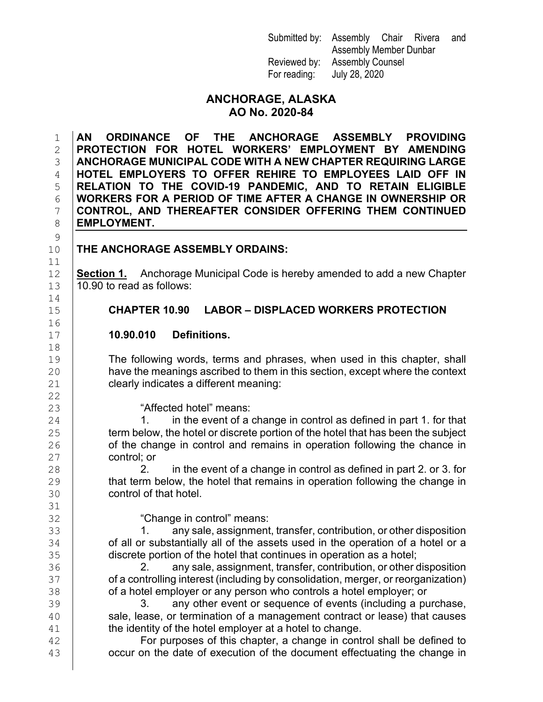Submitted by: Assembly Chair Rivera and Assembly Member Dunbar Reviewed by: Assembly Counsel For reading: July 28, 2020

#### **ANCHORAGE, ALASKA AO No. 2020-84**

 **AN ORDINANCE OF THE ANCHORAGE ASSEMBLY PROVIDING PROTECTION FOR HOTEL WORKERS' EMPLOYMENT BY AMENDING ANCHORAGE MUNICIPAL CODE WITH A NEW CHAPTER REQUIRING LARGE HOTEL EMPLOYERS TO OFFER REHIRE TO EMPLOYEES LAID OFF IN RELATION TO THE COVID-19 PANDEMIC, AND TO RETAIN ELIGIBLE WORKERS FOR A PERIOD OF TIME AFTER A CHANGE IN OWNERSHIP OR CONTROL, AND THEREAFTER CONSIDER OFFERING THEM CONTINUED EMPLOYMENT.** 

 $\frac{9}{10}$ 11<br>12

#### **THE ANCHORAGE ASSEMBLY ORDAINS:**

**Section 1.** Anchorage Municipal Code is hereby amended to add a new Chapter  $13$  | 10.90 to read as follows:

### 15 **CHAPTER 10.90 LABOR – DISPLACED WORKERS PROTECTION**

#### 17 **10.90.010 Definitions.**

The following words, terms and phrases, when used in this chapter, shall<br>20 have the meanings ascribed to them in this section, except where the context have the meanings ascribed to them in this section, except where the context 21 **clearly indicates a different meaning:** 

23 **Affected hotel" means:**<br>24 **1.** in the event of a  $24$  1. in the event of a change in control as defined in part 1. for that  $25$  term below, the hotel or discrete portion of the hotel that has been the subject 25 term below, the hotel or discrete portion of the hotel that has been the subject<br>26 of the change in control and remains in operation following the chance in of the change in control and remains in operation following the chance in  $\begin{array}{c|c}\n 27 \\
 28\n \end{array}$  control; or

 $28$  2. in the event of a change in control as defined in part 2. or 3. for <br>29 that term below, the hotel that remains in operation following the change in 29 that term below, the hotel that remains in operation following the change in<br>30 control of that hotel. control of that hotel.

32 "Change in control" means: 33 1. any sale, assignment, transfer, contribution, or other disposition<br>34 of all or substantially all of the assets used in the operation of a hotel or a 34 of all or substantially all of the assets used in the operation of a hotel or a<br>35 discrete portion of the hotel that continues in operation as a hotel; 35 discrete portion of the hotel that continues in operation as a hotel;<br>36 discrete portion of the hotel that contribution, or other c

36 2. any sale, assignment, transfer, contribution, or other disposition<br>37 of a controlling interest (including by consolidation, merger, or reorganization) 37 cof a controlling interest (including by consolidation, merger, or reorganization)<br>38 cof a hotel emplover or any person who controls a hotel emplover: or 38 of a hotel employer or any person who controls a hotel employer; or<br>39 **or any other event or sequence of events (including a pu** 

39 3. any other event or sequence of events (including a purchase,<br>30 3. any other event or sequence of events (including a purchase,  $\begin{array}{c|c} 40 & \text{ sale, lease, or termination of a management contract or lease) that causes} \end{array}$ 41 the identity of the hotel employer at a hotel to change.<br>42 **For purposes of this chapter, a change in conti** 

42 **For purposes of this chapter, a change in control shall be defined to**<br>43 **COCUL DATE:** occur on the date of execution of the document effectuating the change in occur on the date of execution of the document effectuating the change in

14<br>15 16<br>17 18

22<br>23

31<br>32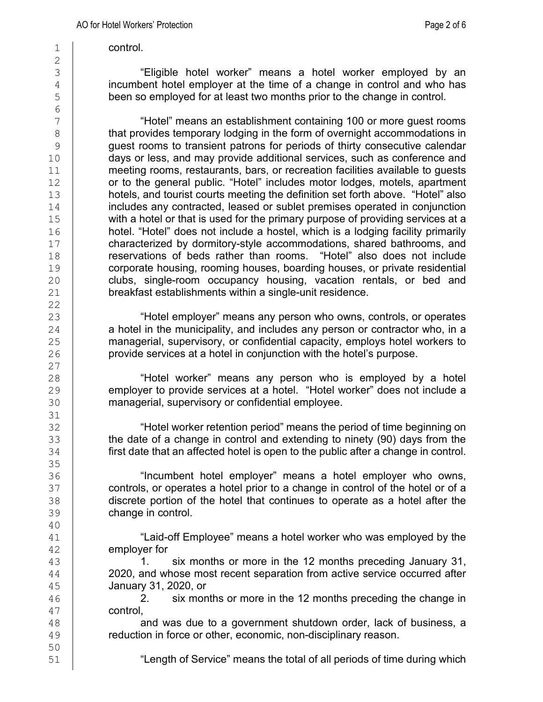1 control.

"Eligible hotel worker" means a hotel worker employed by an  $\frac{4}{5}$  incumbent hotel employer at the time of a change in control and who has been so employed for at least two months prior to the change in control. been so employed for at least two months prior to the change in control.

<sup>7</sup> | "Hotel" means an establishment containing 100 or more guest rooms<br>8 | that provides temporary lodging in the form of overnight accommodations in 8 that provides temporary lodging in the form of overnight accommodations in<br>8 quest rooms to transient patrons for periods of thirty consecutive calendar guest rooms to transient patrons for periods of thirty consecutive calendar<br>10 davs or less, and mav provide additional services, such as conference and 10 days or less, and may provide additional services, such as conference and<br>11 meeting rooms, restaurants, bars, or recreation facilities available to quests meeting rooms, restaurants, bars, or recreation facilities available to quests 12 or to the general public. "Hotel" includes motor lodges, motels, apartment<br>13 hotels, and tourist courts meeting the definition set forth above. "Hotel" also 13 hotels, and tourist courts meeting the definition set forth above. "Hotel" also<br>14 includes any contracted, leased or sublet premises operated in conjunction 14 includes any contracted, leased or sublet premises operated in conjunction<br>15 with a hotel or that is used for the primary purpose of providing services at a 15 with a hotel or that is used for the primary purpose of providing services at a<br>16 hotel. "Hotel" does not include a hostel, which is a lodging facility primarily 16 hotel. "Hotel" does not include a hostel, which is a lodging facility primarily<br>17 characterized by dormitory-style accommodations, shared bathrooms, and 17 characterized by dormitory-style accommodations, shared bathrooms, and<br>18 **conservations of beds rather than rooms.** "Hotel" also does not include 18 **reservations of beds rather than rooms.** "Hotel" also does not include<br>19 corporate housing, rooming houses, boarding houses, or private residential 19 corporate housing, rooming houses, boarding houses, or private residential<br>20 clubs. single-room occupancy housing. vacation rentals. or bed and 20 clubs, single-room occupancy housing, vacation rentals, or bed and <br>21 breakfast establishments within a single-unit residence. breakfast establishments within a single-unit residence.

23 "Hotel employer" means any person who owns, controls, or operates 24 a hotel in the municipality, and includes any person or contractor who, in a<br>25 managerial, supervisory, or confidential capacity, employs hotel workers to 25 managerial, supervisory, or confidential capacity, employs hotel workers to<br>26 **provimes at a hotel in conjunction with the hotel's purpose**. provide services at a hotel in conjunction with the hotel's purpose.

28 (and thotel worker" means any person who is employed by a hotel<br>29 (and the provide services at a hotel. "Hotel worker" does not include a 29 employer to provide services at a hotel. "Hotel worker" does not include a managerial. supervisory or confidential employee. managerial, supervisory or confidential employee.

32 Thotel worker retention period" means the period of time beginning on<br>33 The date of a change in control and extending to ninety (90) days from the the date of a change in control and extending to ninety (90) days from the 34 **first date that an affected hotel is open to the public after a change in control.** 

36 "Incumbent hotel employer" means a hotel employer who owns, 37 controls, or operates a hotel prior to a change in control of the hotel or of a<br>38 discrete portion of the hotel that continues to operate as a hotel after the 38 discrete portion of the hotel that continues to operate as a hotel after the discrete portion. change in control.

"Laid-off Employee" means a hotel worker who was employed by the  $\begin{array}{c|c}\n42 & \text{emplayer for} \\
43 & 1\n\end{array}$ 

six months or more in the 12 months preceding January 31,  $\frac{44}{45}$  2020, and whose most recent separation from active service occurred after<br>45 January 31, 2020, or 45 **January 31, 2020, or**<br>46 **January 31, 2020, or** 

six months or more in the 12 months preceding the change in

 $\begin{array}{c|c} 47 & \text{control}, \\ 48 & & \text{a} \end{array}$ 48 and was due to a government shutdown order, lack of business, a reduction in force or other, economic, non-disciplinary reason. reduction in force or other, economic, non-disciplinary reason.

"Length of Service" means the total of all periods of time during which

50<br>51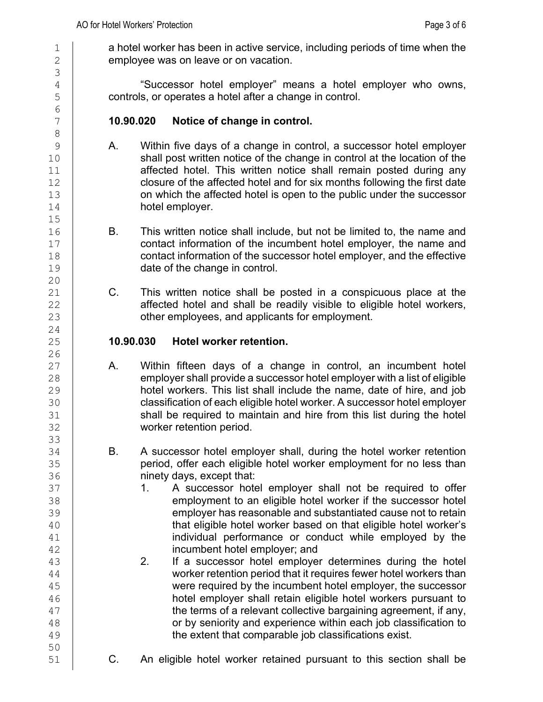3

6<br>7

 $15$ <br> $16$ 

 $\begin{array}{c} 20 \\ 21 \end{array}$ 

 $\frac{24}{25}$ 

 $\frac{26}{27}$ 

33

1 a hotel worker has been in active service, including periods of time when the  $\frac{2}{3}$  emplovee was on leave or on vacation. employee was on leave or on vacation.

4 "Successor hotel employer" means a hotel employer who owns, controls, or operates a hotel after a change in control.

# 7 **10.90.020 Notice of change in control.**

- 8 9 A. Within five days of a change in control, a successor hotel employer<br>10 Shall post written notice of the change in control at the location of the 10 shall post written notice of the change in control at the location of the<br>11 **heart of the control of the state of the control of the and the control of the state of the state of the s** affected hotel. This written notice shall remain posted during any 12 closure of the affected hotel and for six months following the first date<br>13 **communishies and interest on which the affected hotel is open to the public under the successor** 13 on which the affected hotel is open to the public under the successor<br>14 **hotel employer**. hotel employer.
- 16 B. This written notice shall include, but not be limited to, the name and contact information of the incumbent hotel employer, the name and 17 contact information of the incumbent hotel employer, the name and<br>18 contact information of the successor hotel employer, and the effective 18 contact information of the successor hotel employer, and the effective<br>19 date of the change in control. date of the change in control.
- C. This written notice shall be posted in a conspicuous place at the 22 affected hotel and shall be readily visible to eligible hotel workers,<br>23 other employees, and applicants for employment. other employees, and applicants for employment.

### 25 **10.90.030 Hotel worker retention.**

- 27 A. Within fifteen days of a change in control, an incumbent hotel<br>28 emplover shall provide a successor hotel emplover with a list of eligible 28 employer shall provide a successor hotel employer with a list of eligible<br>29 hotel workers. This list shall include the name, date of hire, and job 29 hotel workers. This list shall include the name, date of hire, and job<br>30 classification of each eligible hotel worker. A successor hotel emplover 30 classification of each eligible hotel worker. A successor hotel employer<br>31 shall be required to maintain and hire from this list during the hotel shall be required to maintain and hire from this list during the hotel 32 worker retention period.
- 34 B. A successor hotel employer shall, during the hotel worker retention<br>35 **B. Conservedies and hotel worker employment for no less than** 35 period, offer each eligible hotel worker employment for no less than<br>36 **hotal contract of thange in the state of than** 36 **ninety days, except that:**<br>37 **1.** A successor hote
- 37 1. A successor hotel employer shall not be required to offer<br>38 **1. A successor hotel employer shall not be required to offer** 38 employment to an eligible hotel worker if the successor hotel<br>39 employer has reasonable and substantiated cause not to retain 39 employer has reasonable and substantiated cause not to retain<br>40 **has all that eligible hotel worker based on that eligible hotel worker's** 40 (40 that eligible hotel worker based on that eligible hotel worker's and that eligible hotel worker's individual performance or conduct while employed by the individual performance or conduct while employed by the 42 incumbent hotel employer; and<br>43 **2.** If a successor hotel employer
- If a successor hotel employer determines during the hotel  $\frac{44}{45}$  worker retention period that it requires fewer hotel workers than<br> $\frac{45}{45}$ 45 were required by the incumbent hotel employer, the successor<br>46 **hotel employer shall retain eligible hotel workers pursuant to** hotel employer shall retain eligible hotel workers pursuant to  $\frac{47}{48}$  the terms of a relevant collective bargaining agreement, if any,<br> $\frac{48}{48}$  $\begin{array}{c|c} 48 & \hspace{1.5cm} & \hspace{1.5cm} & \hspace{1.5cm} & \hspace{1.5cm} & \hspace{1.5cm} & \hspace{1.5cm} & \hspace{1.5cm} & \hspace{1.5cm} & \hspace{1.5cm} & \hspace{1.5cm} & \hspace{1.5cm} & \hspace{1.5cm} & \hspace{1.5cm} & \hspace{1.5cm} & \hspace{1.5cm} & \hspace{1.5cm} & \hspace{1.5cm} & \hspace{1.5cm} & \hspace{1.5cm} & \hspace{1.5cm} & \hspace{1.5$ the extent that comparable job classifications exist.

50<br>51

51 C. An eligible hotel worker retained pursuant to this section shall be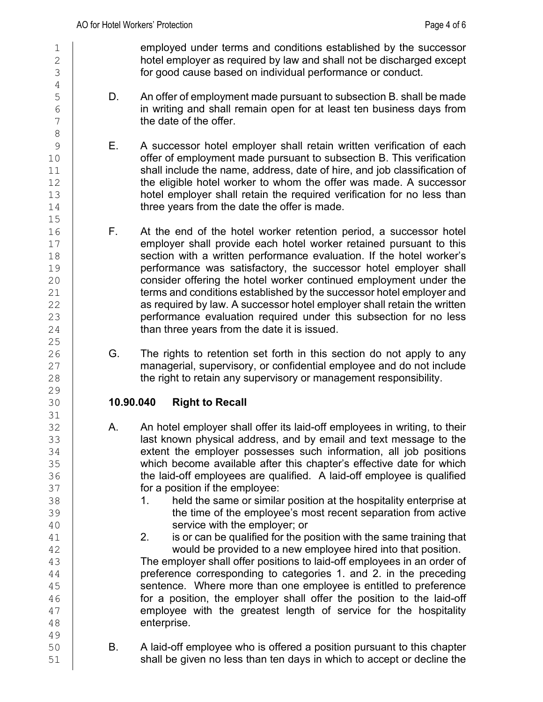1 employed under terms and conditions established by the successor<br>2 hotel emplover as required by law and shall not be discharged except  $\begin{array}{c|c}\n2 & \text{hotel employer as required by law and shall not be discharged except} \\
3 & \text{for good cause based on individual performance or conduct.}\n\end{array}$ for good cause based on individual performance or conduct.

- 5 D. An offer of employment made pursuant to subsection B. shall be made<br>6 **D. Construent in writing and shall remain open for at least ten business davs from**  $\begin{array}{c|c}\n6 & \text{in writing and shall remain open for at least ten business days from} \\
7 & \text{the date of the offer.} \\
\end{array}$ the date of the offer.
- 9 E. A successor hotel employer shall retain written verification of each<br>10 offer of employment made pursuant to subsection B. This verification  $\begin{array}{c|c} 10 & \text{offer of employment made pursuit to subsection B. This verification}\ \end{array}$ shall include the name, address, date of hire, and job classification of 12 the eligible hotel worker to whom the offer was made. A successor<br>13 hotel emplover shall retain the required verification for no less than  $\begin{array}{c|c} 13 & \text{hotel employer shall retain the required verification for no less than} \\ 14 & \text{three years from the date the offer is made.} \end{array}$ three years from the date the offer is made.
- 16 **F.** At the end of the hotel worker retention period, a successor hotel 17 **F.** At the end of the hotel worker retained pursuant to this 17 employer shall provide each hotel worker retained pursuant to this<br>18 Section with a written performance evaluation. If the hotel worker's 18 section with a written performance evaluation. If the hotel worker's<br>19 performance was satisfactory, the successor hotel employer shall 19 **performance was satisfactory, the successor hotel employer shall**<br>20 **consider offering the hotel worker continued employment under the** 20 consider offering the hotel worker continued employment under the<br>21 **containers and conditions established by the successor hotel employer and** terms and conditions established by the successor hotel employer and 22 as required by law. A successor hotel employer shall retain the written<br>23 performance evaluation required under this subsection for no less performance evaluation required under this subsection for no less 24 **than three years from the date it is issued.**
- 26 G. The rights to retention set forth in this section do not apply to any<br>27 managerial, supervisory, or confidential employee and do not include 27 managerial, supervisory, or confidential employee and do not include<br>28 the right to retain any supervisory or management responsibility. the right to retain any supervisory or management responsibility.

## 30 **10.90.040 Right to Recall**

- 32 A. An hotel employer shall offer its laid-off employees in writing, to their<br>33 and by email and text message to the last known physical address, and by email and text message to the 34 extent the employer possesses such information, all job positions<br>35 which become available after this chapter's effective date for which 35 which become available after this chapter's effective date for which<br>36 the laid-off employees are qualified. A laid-off employee is qualified 36 the laid-off employees are qualified. A laid-off employee is qualified  $\frac{37}{100}$ 37 **for a position if the employee:**<br>38 **1.** held the same or similar
- 38 1. held the same or similar position at the hospitality enterprise at<br>39 **1.** The time of the employee's most recent separation from active 39 the time of the employee's most recent separation from active<br>40 service with the employer; or
- 40 service with the employer; or<br>41 **2.** is or can be qualified for the p is or can be qualified for the position with the same training that

42 would be provided to a new employee hired into that position.<br>43 The employer shall offer positions to laid-off employees in an order o The employer shall offer positions to laid-off employees in an order of 44 preference corresponding to categories 1. and 2. in the preceding<br>45 sentence. Where more than one emplovee is entitled to preference 45 sentence. Where more than one employee is entitled to preference<br>46 **for a position**, the employer shall offer the position to the laid-off for a position, the employer shall offer the position to the laid-off  $\begin{array}{c|c} 47 & \text{employee with the greatest length of service for the hospitality} \\ 48 & \text{otherwise.} \end{array}$ enterprise.

50 B. A laid-off employee who is offered a position pursuant to this chapter<br>51 Shall be given no less than ten davs in which to accept or decline the shall be given no less than ten days in which to accept or decline the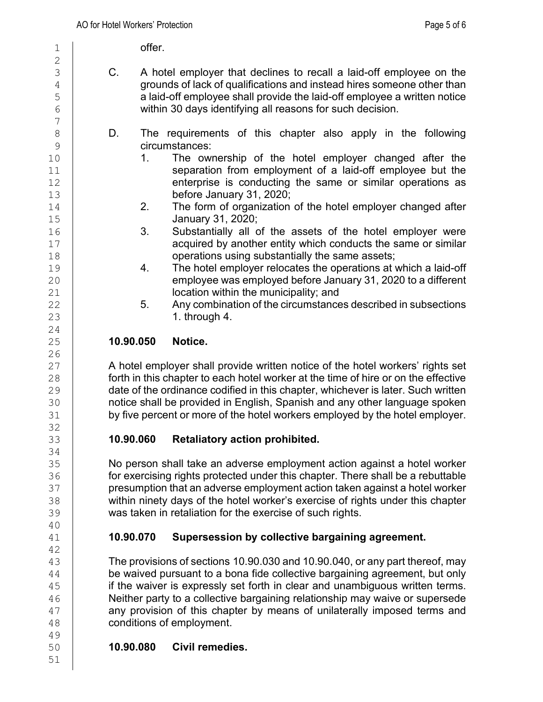1 offer.

- 3 C. A hotel employer that declines to recall a laid-off employee on the 4 grounds of lack of qualifications and instead hires someone other than<br>a laid-off employee shall provide the laid-off employee a written notice 5 a laid-off employee shall provide the laid-off employee a written notice<br>6 within 30 davs identifving all reasons for such decision. within 30 days identifying all reasons for such decision.
- 8 D. The requirements of this chapter also apply in the following<br>9 9 circumstances:<br>10 1. The ow
- 10 1. The ownership of the hotel employer changed after the<br>11 1. Separation from employment of a laid-off employee but the separation from employment of a laid-off employee but the 12 **enterprise is conducting the same or similar operations as**<br>13 **before January 31, 2020**: 13 before January 31, 2020;<br>14 2. The form of organization
- 14 2. The form of organization of the hotel employer changed after<br>15 **2020**: 15 January 31, 2020;
- 16 3. Substantially all of the assets of the hotel employer were<br>17 acquired by another entity which conducts the same or similar 17 acquired by another entity which conducts the same or similar<br>18 **18** operations using substantially the same assets:
- 18 operations using substantially the same assets;<br>19 **4** The hotel employer relocates the operations at v 19 19 4. The hotel employer relocates the operations at which a laid-off<br>20 degree was emploved before January 31, 2020 to a different 20 employee was employed before January 31, 2020 to a different<br>21 **bigget in the municipality:** and location within the municipality; and<br>5. Any combination of the circumstance
- 22 5. Any combination of the circumstances described in subsections<br>23 1. through 4. 1. through 4.

## 25 **10.90.050 Notice.**

27 A hotel employer shall provide written notice of the hotel workers' rights set<br>28 **Frank in this chapter to each hotel worker at the time of hire or on the effective**  $28 \leftarrow$  forth in this chapter to each hotel worker at the time of hire or on the effective<br>29 date of the ordinance codified in this chapter, whichever is later. Such written 29 date of the ordinance codified in this chapter, whichever is later. Such written<br>30 **http://www.filmerenary.org.in**. Spanish and any other language spoken 30 **conoco included in English, Spanish and any other language spoken**<br>31 **by five percent or more of the hotel workers emploved by the hotel emplover.** by five percent or more of the hotel workers employed by the hotel employer.

# 33 **10.90.060 Retaliatory action prohibited.**

35 No person shall take an adverse employment action against a hotel worker 36 for exercising rights protected under this chapter. There shall be a rebuttable<br>37 **for the presumption that an adverse emplovment action taken against a hotel worker** 37 **constructs presumption that an adverse employment action taken against a hotel worker**<br>38 **hour methology of the hotel worker's exercise of rights under this chapter** 38 within ninety days of the hotel worker's exercise of rights under this chapter<br>39 was taken in retaliation for the exercise of such rights. was taken in retaliation for the exercise of such rights.

# 41 **10.90.070 Supersession by collective bargaining agreement.**

The provisions of sections 10.90.030 and 10.90.040, or any part thereof, may  $\frac{44}{45}$  be waived pursuant to a bona fide collective bargaining agreement, but only  $\frac{45}{45}$  if the waiver is expressly set forth in clear and unambiguous written terms. 45 if the waiver is expressly set forth in clear and unambiguous written terms.<br>46 **Nether party to a collective bargaining relationship may waive or supersede** Neither party to a collective bargaining relationship may waive or supersede  $\begin{array}{c|c} 47 & \text{any provision of this chapter by means of unilaterally imposed terms and } 48 & \text{conditions of employment.} \end{array}$ conditions of employment.

## 50 **10.90.080 Civil remedies.**

 $\frac{2}{3}$  $\frac{7}{8}$  $\frac{24}{25}$ 26<br>27 32<br>33 34<br>35 40 42<br>43 49<br>50

51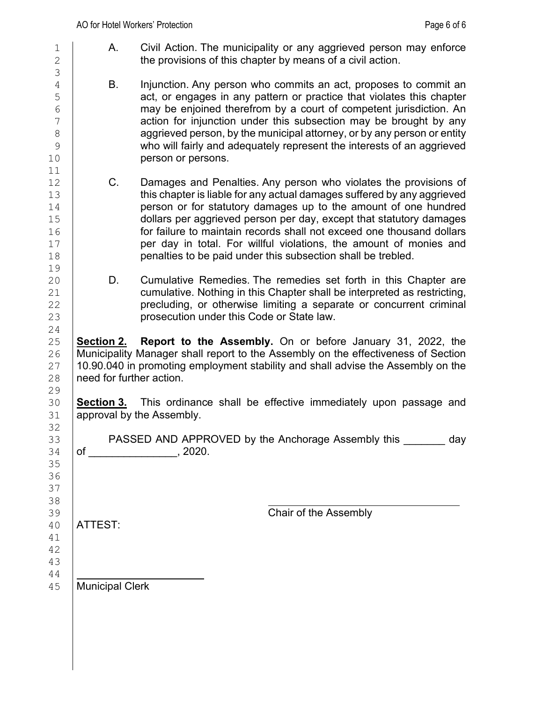- 1  $\vert$  A. Civil Action. The municipality or any aggrieved person may enforce  $\vert$  2 the provisions of this chapter by means of a civil action.
- 4 B. Injunction. Any person who commits an act, proposes to commit an <br>5 act, or engages in any pattern or practice that violates this chapter 5 act, or engages in any pattern or practice that violates this chapter<br>
6 may be enioined therefrom by a court of competent iurisdiction. An  $\begin{array}{c|c}\n6 & \phantom{0} & \phantom{0} & \phantom{0} & \phantom{0} & \phantom{0} & \phantom{0} & \phantom{0} & \phantom{0} & \phantom{0} & \phantom{0} & \phantom{0} & \phantom{0} & \phantom{0} & \phantom{0} & \phantom{0} & \phantom{0} & \phantom{0} & \phantom{0} & \phantom{0} & \phantom{0} & \phantom{0} & \phantom{0} & \phantom{0} & \phantom{0} & \phantom{0} & \phantom{0} & \phantom{0} & \phantom{0} & \phantom{0} & \phantom{0$  $\begin{array}{c|c}\n7 \\
8\n\end{array}$  action for injunction under this subsection may be brought by any<br>8 8 aggrieved person, by the municipal attorney, or by any person or entity<br>8 who will fairly and adequately represent the interests of an aggrieved  $\begin{array}{c|c} 9 & \text{which is} \ 10 & \text{which is} \end{array}$  who will fairly and adequately represent the interests of an aggrieved person or persons.
- 12 C. Damages and Penalties. Any person who violates the provisions of 13 contains this chapter is liable for any actual damages suffered by any agarieved 13 this chapter is liable for any actual damages suffered by any aggrieved<br>14 **homogeney of the contract of the amount** of one hundred 14 person or for statutory damages up to the amount of one hundred<br>15 dollars per aggrieved person per day, except that statutory damages 15 dollars per aggrieved person per day, except that statutory damages<br>16 for failure to maintain records shall not exceed one thousand dollars 16 for failure to maintain records shall not exceed one thousand dollars<br>17 per day in total. For willful violations, the amount of monies and 17 per day in total. For willful violations, the amount of monies and penalties to be paid under this subsection shall be trebled. penalties to be paid under this subsection shall be trebled.
- 20 D. Cumulative Remedies. The remedies set forth in this Chapter are<br>21 cumulative. Nothing in this Chapter shall be interpreted as restricting. 21 cumulative. Nothing in this Chapter shall be interpreted as restricting,<br>22 precluding, or otherwise limiting a separate or concurrent criminal 22 precluding, or otherwise limiting a separate or concurrent criminal<br>23 prosecution under this Code or State law. prosecution under this Code or State law.

25 **Section 2. Report to the Assembly.** On or before January 31, 2022, the 26 | Municipality Manager shall report to the Assembly on the effectiveness of Section<br>27 | 10.90.040 in promoting employment stability and shall advise the Assembly on the 27  $\mid$  10.90.040 in promoting employment stability and shall advise the Assembly on the <br>28  $\mid$  need for further action. need for further action.

30 **Section 3.** This ordinance shall be effective immediately upon passage and approval by the Assembly.

PASSED AND APPROVED by the Anchorage Assembly this day  $34$  of  $, 2020$ .

ATTEST:

42 43

39 **ATTEST:**<br>40 **ATTEST:** 

44<br>45 Municipal Clerk

3 11<br>12 19<br>20  $\frac{24}{25}$ 29<br>30 32<br>33 35 36 37 38<br>39 41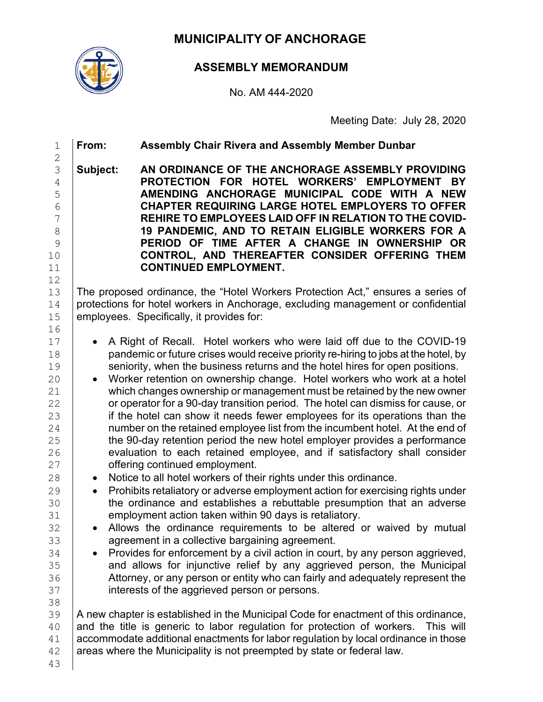**MUNICIPALITY OF ANCHORAGE**



# **ASSEMBLY MEMORANDUM**

No. AM 444-2020

Meeting Date: July 28, 2020

| 1                                                                                                                                                                    | From:                                                                                                                                                                                                            | <b>Assembly Chair Rivera and Assembly Member Dunbar</b>                                                                                                                                                                                                                                                                                                                                                                                                                                                                                                                                                                                                                                                                                                                                                                                                                                                                                                                                                                                                                                                                                                                                                                                                                                                                                                                                                                                                                                                                                                                                                                                                                                                                                                                                                                                                                                                        |  |
|----------------------------------------------------------------------------------------------------------------------------------------------------------------------|------------------------------------------------------------------------------------------------------------------------------------------------------------------------------------------------------------------|----------------------------------------------------------------------------------------------------------------------------------------------------------------------------------------------------------------------------------------------------------------------------------------------------------------------------------------------------------------------------------------------------------------------------------------------------------------------------------------------------------------------------------------------------------------------------------------------------------------------------------------------------------------------------------------------------------------------------------------------------------------------------------------------------------------------------------------------------------------------------------------------------------------------------------------------------------------------------------------------------------------------------------------------------------------------------------------------------------------------------------------------------------------------------------------------------------------------------------------------------------------------------------------------------------------------------------------------------------------------------------------------------------------------------------------------------------------------------------------------------------------------------------------------------------------------------------------------------------------------------------------------------------------------------------------------------------------------------------------------------------------------------------------------------------------------------------------------------------------------------------------------------------------|--|
| $\overline{c}$<br>3<br>$\overline{4}$<br>5<br>6<br>7<br>8<br>9<br>10<br>11                                                                                           | Subject:                                                                                                                                                                                                         | AN ORDINANCE OF THE ANCHORAGE ASSEMBLY PROVIDING<br>PROTECTION FOR HOTEL WORKERS' EMPLOYMENT<br><b>BY</b><br>AMENDING ANCHORAGE MUNICIPAL CODE WITH A NEW<br><b>CHAPTER REQUIRING LARGE HOTEL EMPLOYERS TO OFFER</b><br>REHIRE TO EMPLOYEES LAID OFF IN RELATION TO THE COVID-<br>19 PANDEMIC, AND TO RETAIN ELIGIBLE WORKERS FOR A<br>PERIOD OF TIME AFTER A CHANGE IN OWNERSHIP OR<br>CONTROL, AND THEREAFTER CONSIDER OFFERING THEM<br><b>CONTINUED EMPLOYMENT.</b>                                                                                                                                                                                                                                                                                                                                                                                                                                                                                                                                                                                                                                                                                                                                                                                                                                                                                                                                                                                                                                                                                                                                                                                                                                                                                                                                                                                                                                         |  |
| 12<br>13<br>14<br>15                                                                                                                                                 | The proposed ordinance, the "Hotel Workers Protection Act," ensures a series of<br>protections for hotel workers in Anchorage, excluding management or confidential<br>employees. Specifically, it provides for: |                                                                                                                                                                                                                                                                                                                                                                                                                                                                                                                                                                                                                                                                                                                                                                                                                                                                                                                                                                                                                                                                                                                                                                                                                                                                                                                                                                                                                                                                                                                                                                                                                                                                                                                                                                                                                                                                                                                |  |
| 16<br>17<br>18<br>19<br>20<br>21<br>22<br>23<br>24<br>25<br>26<br>27<br>28<br>29<br>30<br>31<br>32<br>33<br>34<br>35<br>36<br>37<br>38<br>39<br>40<br>41<br>42<br>43 | $\bullet$<br>$\bullet$<br>$\bullet$<br>$\bullet$<br>$\bullet$                                                                                                                                                    | A Right of Recall. Hotel workers who were laid off due to the COVID-19<br>pandemic or future crises would receive priority re-hiring to jobs at the hotel, by<br>seniority, when the business returns and the hotel hires for open positions.<br>Worker retention on ownership change. Hotel workers who work at a hotel<br>which changes ownership or management must be retained by the new owner<br>or operator for a 90-day transition period. The hotel can dismiss for cause, or<br>if the hotel can show it needs fewer employees for its operations than the<br>number on the retained employee list from the incumbent hotel. At the end of<br>the 90-day retention period the new hotel employer provides a performance<br>evaluation to each retained employee, and if satisfactory shall consider<br>offering continued employment.<br>Notice to all hotel workers of their rights under this ordinance.<br>Prohibits retaliatory or adverse employment action for exercising rights under<br>the ordinance and establishes a rebuttable presumption that an adverse<br>employment action taken within 90 days is retaliatory.<br>Allows the ordinance requirements to be altered or waived by mutual<br>agreement in a collective bargaining agreement.<br>Provides for enforcement by a civil action in court, by any person aggrieved,<br>and allows for injunctive relief by any aggrieved person, the Municipal<br>Attorney, or any person or entity who can fairly and adequately represent the<br>interests of the aggrieved person or persons.<br>A new chapter is established in the Municipal Code for enactment of this ordinance,<br>and the title is generic to labor regulation for protection of workers. This will<br>accommodate additional enactments for labor regulation by local ordinance in those<br>areas where the Municipality is not preempted by state or federal law. |  |